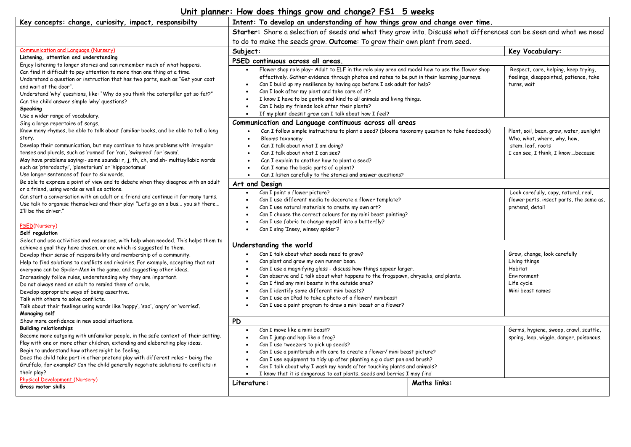## **Unit planner: How does things grow and change? FS1 5 weeks**

| Key concepts: change, curiosity, impact, responsibilty                                                                                                                                                                                                                                                                                                                                                                                                                                                                                                                                                                             | Intent: To develop an understanding of how things grow and change over time.                                                                                                                                                                                                                                                                                                                                                                                                                                                             |                     |                                                                                                                                   |
|------------------------------------------------------------------------------------------------------------------------------------------------------------------------------------------------------------------------------------------------------------------------------------------------------------------------------------------------------------------------------------------------------------------------------------------------------------------------------------------------------------------------------------------------------------------------------------------------------------------------------------|------------------------------------------------------------------------------------------------------------------------------------------------------------------------------------------------------------------------------------------------------------------------------------------------------------------------------------------------------------------------------------------------------------------------------------------------------------------------------------------------------------------------------------------|---------------------|-----------------------------------------------------------------------------------------------------------------------------------|
|                                                                                                                                                                                                                                                                                                                                                                                                                                                                                                                                                                                                                                    | Starter: Share a selection of seeds and what they grow into. Discuss what differences can be seen and what we need                                                                                                                                                                                                                                                                                                                                                                                                                       |                     |                                                                                                                                   |
|                                                                                                                                                                                                                                                                                                                                                                                                                                                                                                                                                                                                                                    | to do to make the seeds grow. Outcome: To grow their own plant from seed.                                                                                                                                                                                                                                                                                                                                                                                                                                                                |                     |                                                                                                                                   |
| Communication and Language (Nursery)                                                                                                                                                                                                                                                                                                                                                                                                                                                                                                                                                                                               | Subject:                                                                                                                                                                                                                                                                                                                                                                                                                                                                                                                                 |                     | Key Vocabulary:                                                                                                                   |
| Listening, attention and understanding                                                                                                                                                                                                                                                                                                                                                                                                                                                                                                                                                                                             | PSED continuous across all areas.                                                                                                                                                                                                                                                                                                                                                                                                                                                                                                        |                     |                                                                                                                                   |
| Enjoy listening to longer stories and can remember much of what happens.<br>Can find it difficult to pay attention to more than one thing at a time.<br>Understand a question or instruction that has two parts, such as "Get your coat<br>and wait at the door".<br>Understand 'why' questions, like: "Why do you think the caterpillar got so fat?"<br>Can the child answer simple 'why' questions?<br>Speaking                                                                                                                                                                                                                  | Flower shop role play- Adult to ELF in the role play area and model how to use the flower shop<br>effectively. Gather evidence through photos and notes to be put in their learning journeys.<br>Can I build up my resilience by having ago before I ask adult for help?<br>Can I look after my plant and take care of it?<br>I know I have to be gentle and kind to all animals and living things.<br>Can I help my friends look after their plants?<br>$\bullet$<br>If my plant doesn't grow can I talk about how I feel?<br>$\bullet$ |                     | Respect, care, helping, keep trying,<br>feelings, disappointed, patience, take<br>turns, wait                                     |
| Use a wider range of vocabulary.<br>Sing a large repertoire of songs.                                                                                                                                                                                                                                                                                                                                                                                                                                                                                                                                                              | Communication and Language continuous across all areas                                                                                                                                                                                                                                                                                                                                                                                                                                                                                   |                     |                                                                                                                                   |
| Know many rhymes, be able to talk about familiar books, and be able to tell a long<br>story.<br>Develop their communication, but may continue to have problems with irregular<br>tenses and plurals, such as 'runned' for 'ran', 'swimmed' for 'swam'.<br>May have problems saying:- some sounds: r, j, th, ch, and sh- multisyllabic words<br>such as 'pterodactyl', 'planetarium' or 'hippopotamus'<br>Use longer sentences of four to six words.                                                                                                                                                                                | Can I follow simple instructions to plant a seed? (blooms taxonomy question to take feedback)<br>$\bullet$<br>Blooms taxonomy<br>$\bullet$<br>Can I talk about what I am doing?<br>$\bullet$<br>Can I talk about what I can see?<br>Can I explain to another how to plant a seed?<br>Can I name the basic parts of a plant?<br>Can I listen carefully to the stories and answer questions?<br>$\bullet$                                                                                                                                  |                     | Plant, soil, bean, grow, water, sunlight<br>Who, what, where, why, how,<br>stem, leaf, roots<br>I can see, I think, I knowbecause |
| Be able to express a point of view and to debate when they disagree with an adult                                                                                                                                                                                                                                                                                                                                                                                                                                                                                                                                                  | Art and Design                                                                                                                                                                                                                                                                                                                                                                                                                                                                                                                           |                     |                                                                                                                                   |
| or a friend, using words as well as actions.<br>Can start a conversation with an adult or a friend and continue it for many turns.<br>Use talk to organise themselves and their play: "Let's go on a bus you sit there<br>I'll be the driver."<br>PSED(Nursery)                                                                                                                                                                                                                                                                                                                                                                    | Can I paint a flower picture?<br>$\bullet$<br>Can I use different media to decorate a flower template?<br>Can I use natural materials to create my own art?<br>$\bullet$<br>Can I choose the correct colours for my mini beast painting?<br>Can I use fabric to change myself into a butterfly?                                                                                                                                                                                                                                          |                     | Look carefully, copy, natural, real,<br>flower parts, insect parts, the same as,<br>pretend, detail                               |
| Self regulation                                                                                                                                                                                                                                                                                                                                                                                                                                                                                                                                                                                                                    | Can I sing 'Insey, winsey spider'?                                                                                                                                                                                                                                                                                                                                                                                                                                                                                                       |                     |                                                                                                                                   |
| Select and use activities and resources, with help when needed. This helps them to                                                                                                                                                                                                                                                                                                                                                                                                                                                                                                                                                 |                                                                                                                                                                                                                                                                                                                                                                                                                                                                                                                                          |                     |                                                                                                                                   |
| achieve a goal they have chosen, or one which is suggested to them.<br>Develop their sense of responsibility and membership of a community.<br>Help to find solutions to conflicts and rivalries. For example, accepting that not<br>everyone can be Spider-Man in the game, and suggesting other ideas.<br>Increasingly follow rules, understanding why they are important.<br>Do not always need an adult to remind them of a rule.<br>Develop appropriate ways of being assertive.<br>Talk with others to solve conflicts.<br>Talk about their feelings using words like 'happy', 'sad', 'angry' or 'worried'.<br>Managing self | Understanding the world<br>Can I talk about what seeds need to grow?<br>Can plant and grow my own runner bean.<br>Can I use a magnifying glass - discuss how things appear larger.<br>$\bullet$<br>Can observe and I talk about what happens to the frogspawn, chrysalis, and plants.<br>Can I find any mini beasts in the outside area?<br>Can I identify some different mini beasts?<br>Can I use an IPad to take a photo of a flower/minibeast<br>Can I use a paint program to draw a mini beast or a flower?                         |                     | Grow, change, look carefully<br>Living things<br>Habitat<br>Environment<br>Life cycle<br>Mini beast names                         |
| Show more confidence in new social situations.                                                                                                                                                                                                                                                                                                                                                                                                                                                                                                                                                                                     | <b>PD</b>                                                                                                                                                                                                                                                                                                                                                                                                                                                                                                                                |                     |                                                                                                                                   |
| <b>Building relationships</b><br>Become more outgoing with unfamiliar people, in the safe context of their setting.<br>Play with one or more other children, extending and elaborating play ideas.<br>Begin to understand how others might be feeling.<br>Does the child take part in other pretend play with different roles - being the<br>Gruffalo, for example? Can the child generally negotiate solutions to conflicts in<br>their play?<br><b>Physical Development (Nursery)</b>                                                                                                                                            | Can I move like a mini beast?<br>Can I jump and hop like a frog?<br>Can I use tweezers to pick up seeds?<br>$\bullet$<br>Can I use a paintbrush with care to create a flower/mini beast picture?<br>Can I use equipment to tidy up after planting e.g a dust pan and brush?<br>Can I talk about why I wash my hands after touching plants and animals?<br>I know that it is dangerous to eat plants, seeds and berries I may find<br>$\bullet$                                                                                           |                     | Germs, hygiene, swoop, crawl, scuttle,<br>spring, leap, wiggle, danger, poisonous.                                                |
| Gross motor skills                                                                                                                                                                                                                                                                                                                                                                                                                                                                                                                                                                                                                 | Literature:                                                                                                                                                                                                                                                                                                                                                                                                                                                                                                                              | <b>Maths links:</b> |                                                                                                                                   |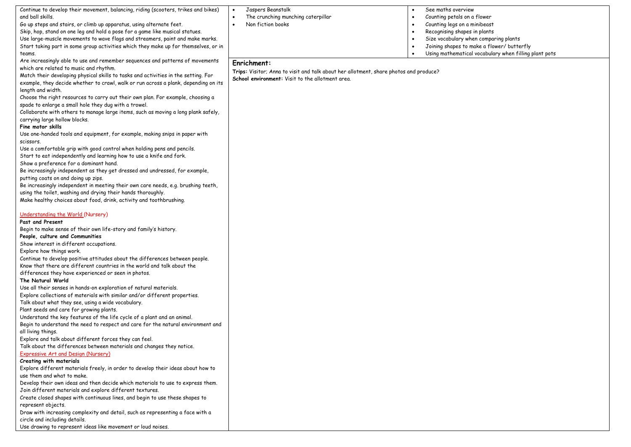| Continue to develop their movement, balancing, riding (scooters, trikes and bikes)<br>and ball skills.<br>The crunching munching caterpillar<br>Counting petals on a flower<br>Go up steps and stairs, or climb up apparatus, using alternate feet.<br>Non fiction books<br>Counting legs on a minibeast<br>$\bullet$<br>$\bullet$<br>Skip, hop, stand on one leg and hold a pose for a game like musical statues.<br>Recognising shapes in plants |  |
|----------------------------------------------------------------------------------------------------------------------------------------------------------------------------------------------------------------------------------------------------------------------------------------------------------------------------------------------------------------------------------------------------------------------------------------------------|--|
|                                                                                                                                                                                                                                                                                                                                                                                                                                                    |  |
|                                                                                                                                                                                                                                                                                                                                                                                                                                                    |  |
|                                                                                                                                                                                                                                                                                                                                                                                                                                                    |  |
| Use large-muscle movements to wave flags and streamers, paint and make marks.<br>Size vocabulary when comparing plants                                                                                                                                                                                                                                                                                                                             |  |
| Start taking part in some group activities which they make up for themselves, or in<br>Joining shapes to make a flower/ butterfly                                                                                                                                                                                                                                                                                                                  |  |
| Using mathematical vocabulary when filling plant pots<br>teams.                                                                                                                                                                                                                                                                                                                                                                                    |  |
| Are increasingly able to use and remember sequences and patterns of movements<br>Enrichment:                                                                                                                                                                                                                                                                                                                                                       |  |
| which are related to music and rhythm.                                                                                                                                                                                                                                                                                                                                                                                                             |  |
| Trips: Visitor; Anna to visit and talk about her allotment, share photos and produce?<br>Match their developing physical skills to tasks and activities in the setting. For                                                                                                                                                                                                                                                                        |  |
| School environment: Visit to the allotment area.<br>example, they decide whether to crawl, walk or run across a plank, depending on its                                                                                                                                                                                                                                                                                                            |  |
| length and width.                                                                                                                                                                                                                                                                                                                                                                                                                                  |  |
| Choose the right resources to carry out their own plan. For example, choosing a                                                                                                                                                                                                                                                                                                                                                                    |  |
| spade to enlarge a small hole they dug with a trowel.                                                                                                                                                                                                                                                                                                                                                                                              |  |
| Collaborate with others to manage large items, such as moving a long plank safely,                                                                                                                                                                                                                                                                                                                                                                 |  |
| carrying large hollow blocks.                                                                                                                                                                                                                                                                                                                                                                                                                      |  |
| Fine motor skills                                                                                                                                                                                                                                                                                                                                                                                                                                  |  |
| Use one-handed tools and equipment, for example, making snips in paper with                                                                                                                                                                                                                                                                                                                                                                        |  |
| scissors.                                                                                                                                                                                                                                                                                                                                                                                                                                          |  |
| Use a comfortable grip with good control when holding pens and pencils.                                                                                                                                                                                                                                                                                                                                                                            |  |
| Start to eat independently and learning how to use a knife and fork.                                                                                                                                                                                                                                                                                                                                                                               |  |
| Show a preference for a dominant hand.                                                                                                                                                                                                                                                                                                                                                                                                             |  |
| Be increasingly independent as they get dressed and undressed, for example,                                                                                                                                                                                                                                                                                                                                                                        |  |
| putting coats on and doing up zips.                                                                                                                                                                                                                                                                                                                                                                                                                |  |
| Be increasingly independent in meeting their own care needs, e.g. brushing teeth,                                                                                                                                                                                                                                                                                                                                                                  |  |
| using the toilet, washing and drying their hands thoroughly.                                                                                                                                                                                                                                                                                                                                                                                       |  |
| Make healthy choices about food, drink, activity and toothbrushing.                                                                                                                                                                                                                                                                                                                                                                                |  |
|                                                                                                                                                                                                                                                                                                                                                                                                                                                    |  |
| Understanding the World (Nursery)                                                                                                                                                                                                                                                                                                                                                                                                                  |  |
| Past and Present                                                                                                                                                                                                                                                                                                                                                                                                                                   |  |
| Begin to make sense of their own life-story and family's history.                                                                                                                                                                                                                                                                                                                                                                                  |  |
| People, culture and Communities                                                                                                                                                                                                                                                                                                                                                                                                                    |  |
| Show interest in different occupations.                                                                                                                                                                                                                                                                                                                                                                                                            |  |
| Explore how things work.                                                                                                                                                                                                                                                                                                                                                                                                                           |  |
| Continue to develop positive attitudes about the differences between people.                                                                                                                                                                                                                                                                                                                                                                       |  |
| Know that there are different countries in the world and talk about the                                                                                                                                                                                                                                                                                                                                                                            |  |
| differences they have experienced or seen in photos.                                                                                                                                                                                                                                                                                                                                                                                               |  |
| The Natural World                                                                                                                                                                                                                                                                                                                                                                                                                                  |  |
| Use all their senses in hands-on exploration of natural materials.                                                                                                                                                                                                                                                                                                                                                                                 |  |
| Explore collections of materials with similar and/or different properties.                                                                                                                                                                                                                                                                                                                                                                         |  |
| Talk about what they see, using a wide vocabulary.<br>Plant seeds and care for growing plants.                                                                                                                                                                                                                                                                                                                                                     |  |
| Understand the key features of the life cycle of a plant and an animal.                                                                                                                                                                                                                                                                                                                                                                            |  |
| Begin to understand the need to respect and care for the natural environment and                                                                                                                                                                                                                                                                                                                                                                   |  |
| all living things.                                                                                                                                                                                                                                                                                                                                                                                                                                 |  |
| Explore and talk about different forces they can feel.                                                                                                                                                                                                                                                                                                                                                                                             |  |
| Talk about the differences between materials and changes they notice.                                                                                                                                                                                                                                                                                                                                                                              |  |
| Expressive Art and Design (Nursery)                                                                                                                                                                                                                                                                                                                                                                                                                |  |
| Creating with materials                                                                                                                                                                                                                                                                                                                                                                                                                            |  |
| Explore different materials freely, in order to develop their ideas about how to                                                                                                                                                                                                                                                                                                                                                                   |  |
| use them and what to make.                                                                                                                                                                                                                                                                                                                                                                                                                         |  |
| Develop their own ideas and then decide which materials to use to express them.                                                                                                                                                                                                                                                                                                                                                                    |  |
| Join different materials and explore different textures.                                                                                                                                                                                                                                                                                                                                                                                           |  |
| Create closed shapes with continuous lines, and begin to use these shapes to                                                                                                                                                                                                                                                                                                                                                                       |  |
| represent objects.                                                                                                                                                                                                                                                                                                                                                                                                                                 |  |
| Draw with increasing complexity and detail, such as representing a face with a                                                                                                                                                                                                                                                                                                                                                                     |  |
| circle and including details.                                                                                                                                                                                                                                                                                                                                                                                                                      |  |
| Use drawing to represent ideas like movement or loud noises.                                                                                                                                                                                                                                                                                                                                                                                       |  |